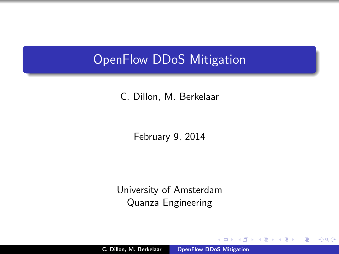## OpenFlow DDoS Mitigation

C. Dillon, M. Berkelaar

February 9, 2014

University of Amsterdam Quanza Engineering

C. Dillon, M. Berkelaar [OpenFlow DDoS Mitigation](#page-17-0)

a mills.

<span id="page-0-0"></span>-465  $\sim$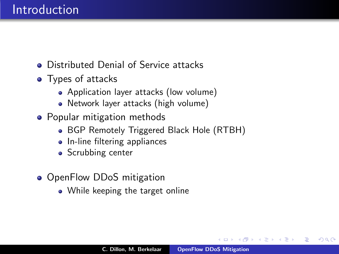- **Distributed Denial of Service attacks**
- Types of attacks
	- Application layer attacks (low volume)
	- Network layer attacks (high volume)
- Popular mitigation methods
	- BGP Remotely Triggered Black Hole (RTBH)
	- In-line filtering appliances
	- Scrubbing center
- OpenFlow DDoS mitigation
	- While keeping the target online

つくい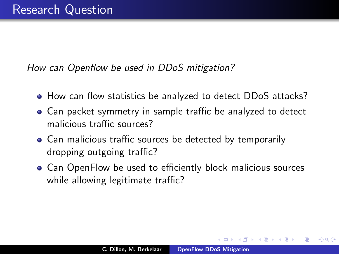How can Openflow be used in DDoS mitigation?

- How can flow statistics be analyzed to detect DDoS attacks?
- Can packet symmetry in sample traffic be analyzed to detect malicious traffic sources?
- Can malicious traffic sources be detected by temporarily dropping outgoing traffic?
- <span id="page-2-0"></span>Can OpenFlow be used to efficiently block malicious sources while allowing legitimate traffic?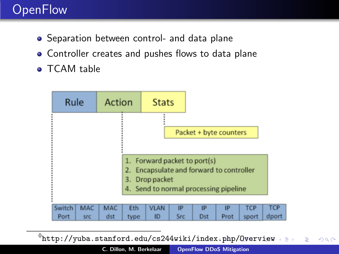# **OpenFlow**

- **•** Separation between control- and data plane
- Controller creates and pushes flows to data plane
- **o** TCAM table



<span id="page-3-0"></span> $^0$ http://yuba.stanford.edu/cs244wiki/index.php/Qverview  $2Q$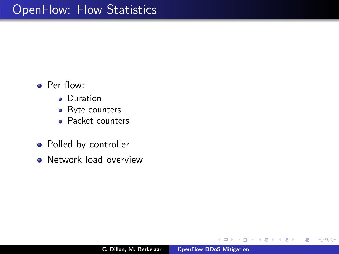- **•** Per flow:
	- **•** Duration
	- Byte counters
	- Packet counters
- Polled by controller
- **Network load overview**

 $\leftarrow$   $\Box$ 

A

佳

<span id="page-4-0"></span>扂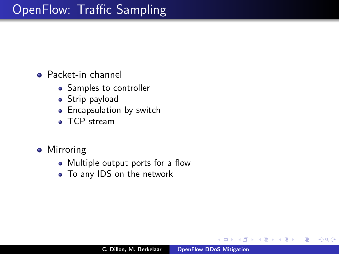# OpenFlow: Traffic Sampling

Packet-in channel

- Samples to controller
- Strip payload
- **•** Encapsulation by switch
- TCP stream
- **•** Mirroring
	- Multiple output ports for a flow
	- To any IDS on the network

 $+$ 

A

∢ 重.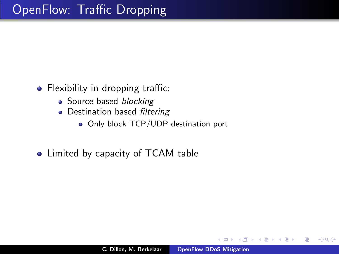- Flexibility in dropping traffic:
	- Source based *blocking*
	- Destination based filtering
		- Only block TCP/UDP destination port
- Limited by capacity of TCAM table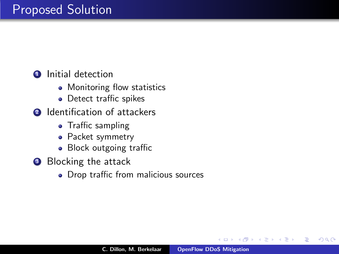#### Proposed Solution

**1** Initial detection

- Monitoring flow statistics
- Detect traffic spikes
- **2** Identification of attackers
	- Traffic sampling
	- Packet symmetry
	- Block outgoing traffic
- **3** Blocking the attack
	- Drop traffic from malicious sources

つくい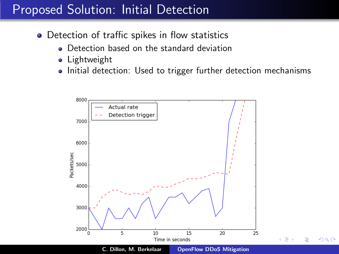## Proposed Solution: Initial Detection

- Detection of traffic spikes in flow statistics
	- Detection based on the standard deviation
	- Lightweight
	- Initial detection: Used to trigger further detection mechanisms

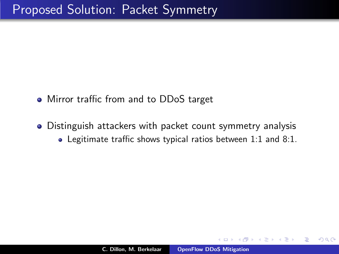- Mirror traffic from and to DDoS target
- Distinguish attackers with packet count symmetry analysis Legitimate traffic shows typical ratios between 1:1 and 8:1.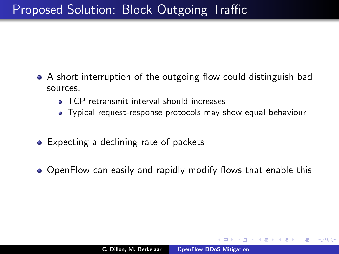- A short interruption of the outgoing flow could distinguish bad sources.
	- TCP retransmit interval should increases
	- Typical request-response protocols may show equal behaviour
- Expecting a declining rate of packets
- OpenFlow can easily and rapidly modify flows that enable this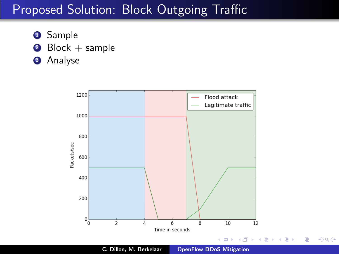## Proposed Solution: Block Outgoing Traffic

- **3** Sample
- $\bullet$  Block + sample
- **3** Analyse

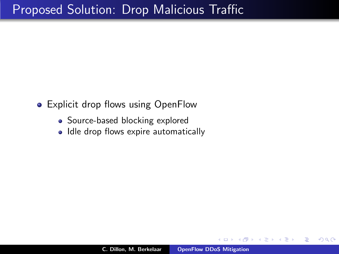## Proposed Solution: Drop Malicious Traffic

- Explicit drop flows using OpenFlow
	- Source-based blocking explored
	- Idle drop flows expire automatically

 $2Q$ 

 $\leftarrow$   $\equiv$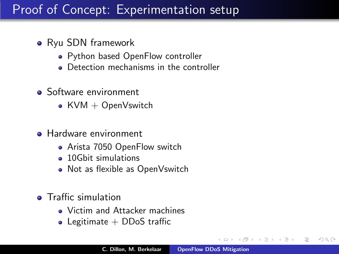# Proof of Concept: Experimentation setup

- Ryu SDN framework
	- Python based OpenFlow controller
	- **•** Detection mechanisms in the controller
- Software environment
	- KVM  $+$  OpenVswitch
- **Hardware environment** 
	- Arista 7050 OpenFlow switch
	- 10Gbit simulations
	- Not as flexible as OpenVswitch
- **•** Traffic simulation
	- Victim and Attacker machines
	- Legitimate  $+$  DDoS traffic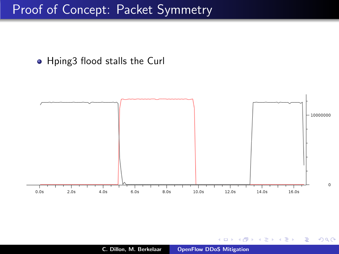#### Proof of Concept: Packet Symmetry

Hping3 flood stalls the Curl



 $4.171 +$ 

×. A ŧ

重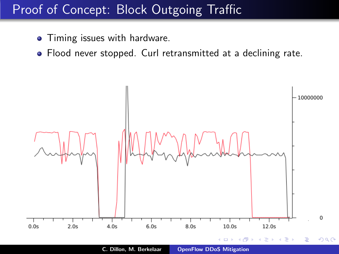# Proof of Concept: Block Outgoing Traffic

- Timing issues with hardware.
- Flood never stopped. Curl retransmitted at a declining rate.



C. Dillon, M. Berkelaar [OpenFlow DDoS Mitigation](#page-0-0)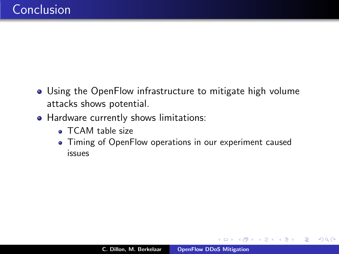- Using the OpenFlow infrastructure to mitigate high volume attacks shows potential.
- Hardware currently shows limitations:
	- TCAM table size
	- Timing of OpenFlow operations in our experiment caused issues